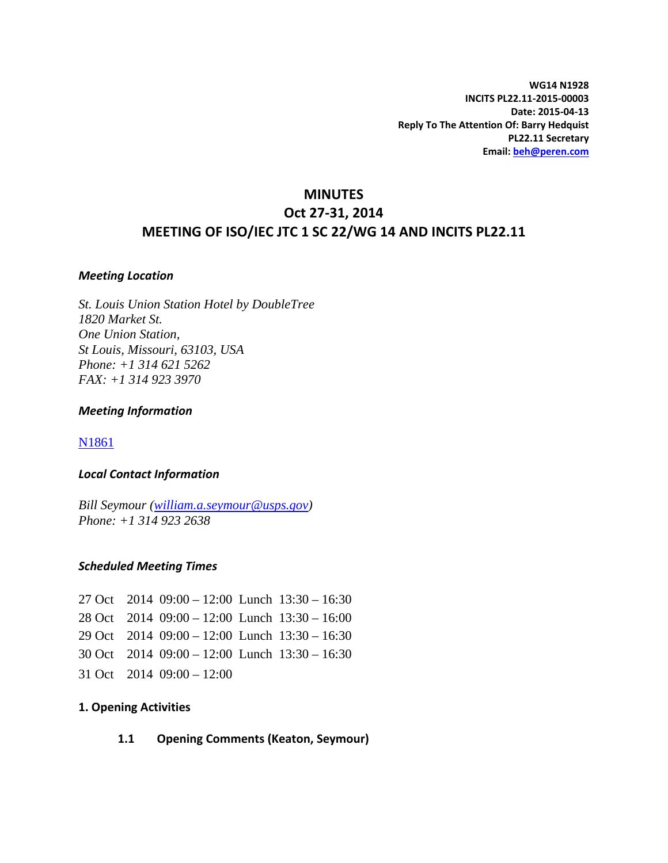**WG14 N1928 INCITS PL22.11‐2015‐00003 Date: 2015‐04‐13 Reply To The Attention Of: Barry Hedquist PL22.11 Secretary Email: [beh@peren.com](mailto:beh@peren.com)**

# **MINUTES Oct 27‐31, 2014 MEETING OF ISO/IEC JTC 1 SC 22/WG 14 AND INCITS PL22.11**

#### *Meeting Location*

*St. Louis Union Station Hotel by DoubleTree 1820 Market St. One Union Station, St Louis, Missouri, 63103, USA Phone: +1 314 621 5262 FAX: +1 314 923 3970* 

#### *Meeting Information*

#### [N1861](http://www.open-std.org/jtc1/sc22/wg14/www/docs/n1861.htm)

#### *Local Contact Information*

*Bill Seymour [\(william.a.seymour@usps.gov\)](mailto:william.a.seymour@usps.gov) Phone: +1 314 923 2638* 

#### *Scheduled Meeting Times*

27 Oct 2014 09:00 – 12:00 Lunch 13:30 – 16:30 28 Oct 2014 09:00 – 12:00 Lunch 13:30 – 16:00 29 Oct 2014 09:00 – 12:00 Lunch 13:30 – 16:30 30 Oct 2014 09:00 – 12:00 Lunch 13:30 – 16:30 31 Oct 2014 09:00 – 12:00

#### **1. Opening Activities**

**1.1 Opening Comments (Keaton, Seymour)**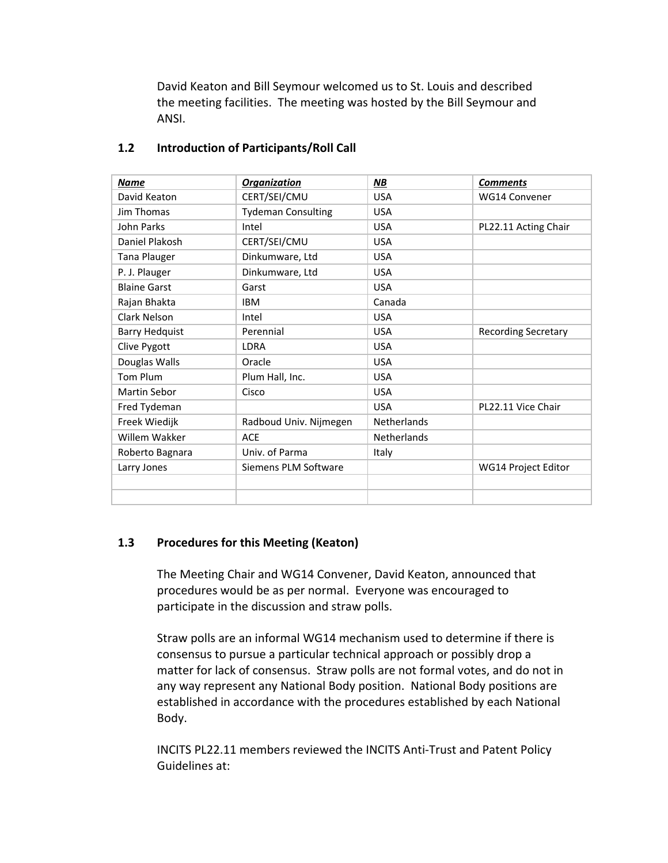David Keaton and Bill Seymour welcomed us to St. Louis and described the meeting facilities. The meeting was hosted by the Bill Seymour and ANSI.

| <b>Name</b>           | <b>Organization</b>       | NΒ                 | <b>Comments</b>            |
|-----------------------|---------------------------|--------------------|----------------------------|
| David Keaton          | CERT/SEI/CMU              | <b>USA</b>         | WG14 Convener              |
| Jim Thomas            | <b>Tydeman Consulting</b> | <b>USA</b>         |                            |
| John Parks            | Intel                     | <b>USA</b>         | PL22.11 Acting Chair       |
| Daniel Plakosh        | CERT/SEI/CMU              | <b>USA</b>         |                            |
| <b>Tana Plauger</b>   | Dinkumware, Ltd           | <b>USA</b>         |                            |
| P. J. Plauger         | Dinkumware, Ltd           | <b>USA</b>         |                            |
| <b>Blaine Garst</b>   | Garst                     | <b>USA</b>         |                            |
| Rajan Bhakta          | <b>IBM</b>                | Canada             |                            |
| Clark Nelson          | Intel                     | <b>USA</b>         |                            |
| <b>Barry Hedquist</b> | Perennial                 | <b>USA</b>         | <b>Recording Secretary</b> |
| Clive Pygott          | LDRA                      | <b>USA</b>         |                            |
| Douglas Walls         | Oracle                    | <b>USA</b>         |                            |
| Tom Plum              | Plum Hall, Inc.           | <b>USA</b>         |                            |
| <b>Martin Sebor</b>   | Cisco                     | <b>USA</b>         |                            |
| Fred Tydeman          |                           | <b>USA</b>         | PL22.11 Vice Chair         |
| Freek Wiedijk         | Radboud Univ. Nijmegen    | Netherlands        |                            |
| Willem Wakker         | <b>ACE</b>                | <b>Netherlands</b> |                            |
| Roberto Bagnara       | Univ. of Parma            | Italy              |                            |
| Larry Jones           | Siemens PLM Software      |                    | WG14 Project Editor        |
|                       |                           |                    |                            |
|                       |                           |                    |                            |

## **1.2 Introduction of Participants/Roll Call**

## **1.3 Procedures for this Meeting (Keaton)**

The Meeting Chair and WG14 Convener, David Keaton, announced that procedures would be as per normal. Everyone was encouraged to participate in the discussion and straw polls.

Straw polls are an informal WG14 mechanism used to determine if there is consensus to pursue a particular technical approach or possibly drop a matter for lack of consensus. Straw polls are not formal votes, and do not in any way represent any National Body position. National Body positions are established in accordance with the procedures established by each National Body.

INCITS PL22.11 members reviewed the INCITS Anti‐Trust and Patent Policy Guidelines at: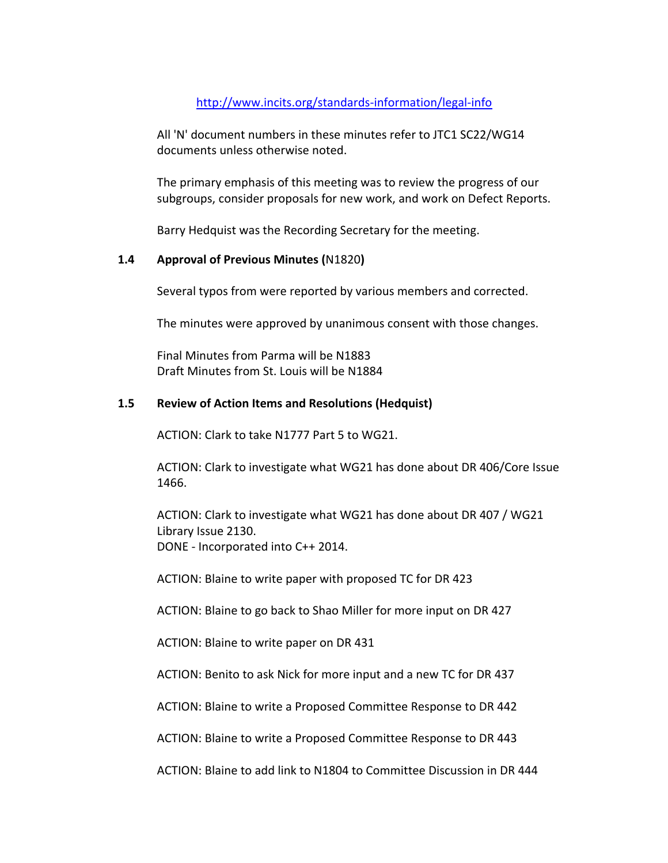## [http://www.incits.org/standards](http://www.incits.org/standards-information/legal-info)‐information/legal‐info

All 'N' document numbers in these minutes refer to JTC1 SC22/WG14 documents unless otherwise noted.

The primary emphasis of this meeting was to review the progress of our subgroups, consider proposals for new work, and work on Defect Reports.

Barry Hedquist was the Recording Secretary for the meeting.

## **1.4 Approval of Previous Minutes (**N1820**)**

Several typos from were reported by various members and corrected.

The minutes were approved by unanimous consent with those changes.

Final Minutes from Parma will be N1883 Draft Minutes from St. Louis will be N1884

## **1.5 Review of Action Items and Resolutions (Hedquist)**

ACTION: Clark to take N1777 Part 5 to WG21.

ACTION: Clark to investigate what WG21 has done about DR 406/Core Issue 1466.

ACTION: Clark to investigate what WG21 has done about DR 407 / WG21 Library Issue 2130. DONE ‐ Incorporated into C++ 2014.

ACTION: Blaine to write paper with proposed TC for DR 423

ACTION: Blaine to go back to Shao Miller for more input on DR 427

ACTION: Blaine to write paper on DR 431

ACTION: Benito to ask Nick for more input and a new TC for DR 437

ACTION: Blaine to write a Proposed Committee Response to DR 442

ACTION: Blaine to write a Proposed Committee Response to DR 443

ACTION: Blaine to add link to N1804 to Committee Discussion in DR 444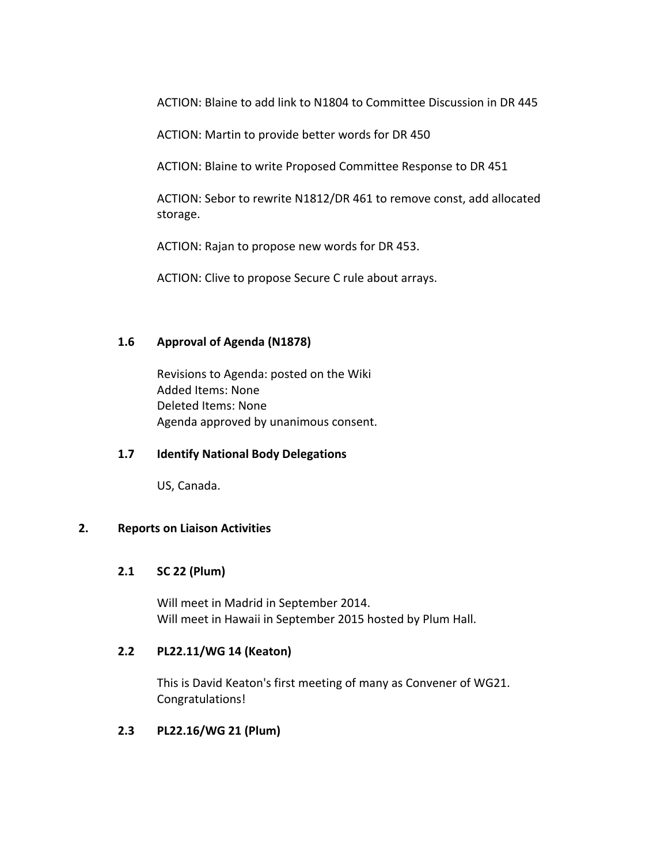ACTION: Blaine to add link to N1804 to Committee Discussion in DR 445

ACTION: Martin to provide better words for DR 450

ACTION: Blaine to write Proposed Committee Response to DR 451

ACTION: Sebor to rewrite N1812/DR 461 to remove const, add allocated storage.

ACTION: Rajan to propose new words for DR 453.

ACTION: Clive to propose Secure C rule about arrays.

## **1.6 Approval of Agenda (N1878)**

Revisions to Agenda: posted on the Wiki Added Items: None Deleted Items: None Agenda approved by unanimous consent.

## **1.7 Identify National Body Delegations**

US, Canada.

#### **2. Reports on Liaison Activities**

#### **2.1 SC 22 (Plum)**

Will meet in Madrid in September 2014. Will meet in Hawaii in September 2015 hosted by Plum Hall.

#### **2.2 PL22.11/WG 14 (Keaton)**

This is David Keaton's first meeting of many as Convener of WG21. Congratulations!

#### **2.3 PL22.16/WG 21 (Plum)**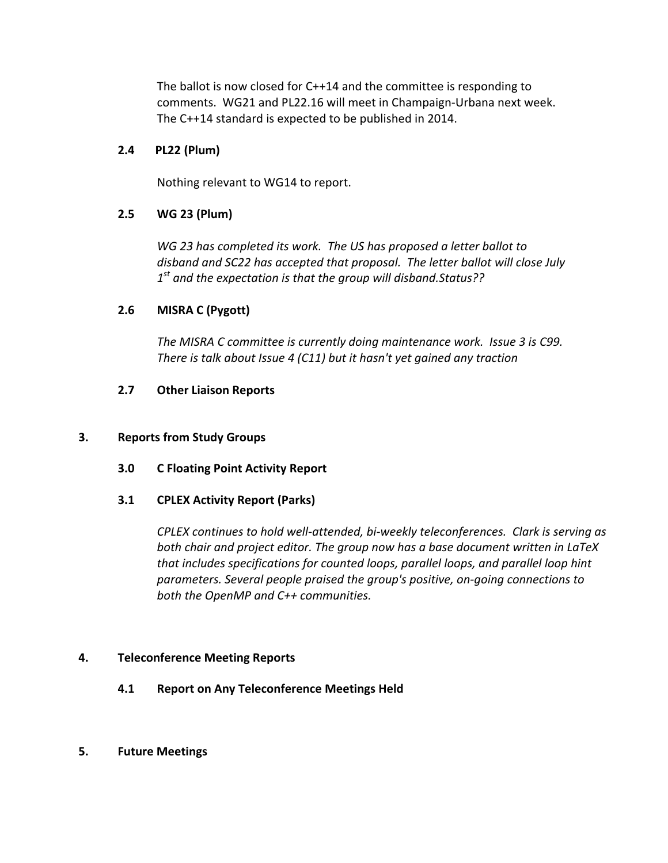The ballot is now closed for C++14 and the committee is responding to comments. WG21 and PL22.16 will meet in Champaign‐Urbana next week. The C++14 standard is expected to be published in 2014.

## **2.4 PL22 (Plum)**

Nothing relevant to WG14 to report.

## **2.5 WG 23 (Plum)**

*WG 23 has completed its work. The US has proposed a letter ballot to disband and SC22 has accepted that proposal. The letter ballot will close July 1st and the expectation is that the group will disband.Status??*

## **2.6 MISRA C (Pygott)**

*The MISRA C committee is currently doing maintenance work. Issue 3 is C99. There is talk about Issue 4 (C11) but it hasn't yet gained any traction*

## **2.7 Other Liaison Reports**

## **3. Reports from Study Groups**

**3.0 C Floating Point Activity Report**

## **3.1 CPLEX Activity Report (Parks)**

*CPLEX continues to hold well‐attended, bi‐weekly teleconferences. Clark is serving as both chair and project editor. The group now has a base document written in LaTeX that includes specifications for counted loops, parallel loops, and parallel loop hint parameters. Several people praised the group's positive, on‐going connections to both the OpenMP and C++ communities.*

## **4. Teleconference Meeting Reports**

**4.1 Report on Any Teleconference Meetings Held** 

## **5. Future Meetings**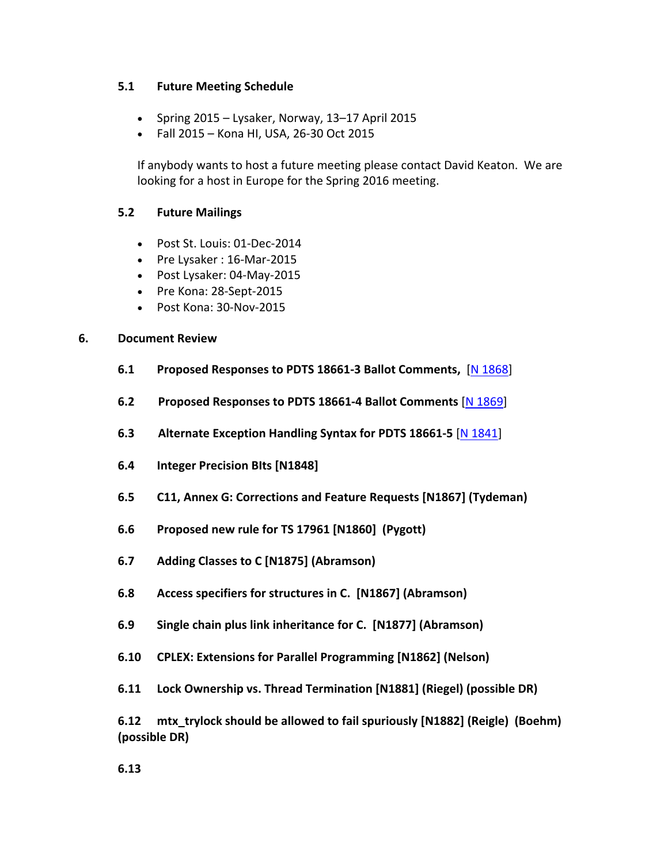## **5.1 Future Meeting Schedule**

- Spring 2015 Lysaker, Norway, 13–17 April 2015
- Fall 2015 Kona HI, USA, 26‐30 Oct 2015

If anybody wants to host a future meeting please contact David Keaton. We are looking for a host in Europe for the Spring 2016 meeting.

## **5.2 Future Mailings**

- Post St. Louis: 01-Dec-2014
- Pre Lysaker : 16‐Mar‐2015
- Post Lysaker: 04‐May‐2015
- Pre Kona: 28‐Sept‐2015
- Post Kona: 30‐Nov‐2015

#### **6. Document Review**

- **6.1 Proposed Responses to PDTS 18661‐3 Ballot Comments,** [N [1868](http://www.open-std.org/jtc1/sc22/wg14/www/docs/n1868.pdf)]
- **6.2 Proposed Responses to PDTS 18661‐4 Ballot Comments** [N [1869\]](http://www.open-std.org/jtc1/sc22/wg14/www/docs/n1869.pdf)
- **6.3 Alternate Exception Handling Syntax for PDTS 18661‐5** [N [1841\]](http://www.open-std.org/jtc1/sc22/wg14/www/docs/n1841.pdf)
- **6.4 Integer Precision BIts [N1848]**
- **6.5 C11, Annex G: Corrections and Feature Requests [N1867] (Tydeman)**
- **6.6 Proposed new rule for TS 17961 [N1860] (Pygott)**
- **6.7 Adding Classes to C [N1875] (Abramson)**
- **6.8 Access specifiers for structures in C. [N1867] (Abramson)**
- **6.9 Single chain plus link inheritance for C. [N1877] (Abramson)**
- **6.10 CPLEX: Extensions for Parallel Programming [N1862] (Nelson)**
- **6.11 Lock Ownership vs. Thread Termination [N1881] (Riegel) (possible DR)**

**6.12 mtx\_trylock should be allowed to fail spuriously [N1882] (Reigle) (Boehm) (possible DR)**

**6.13**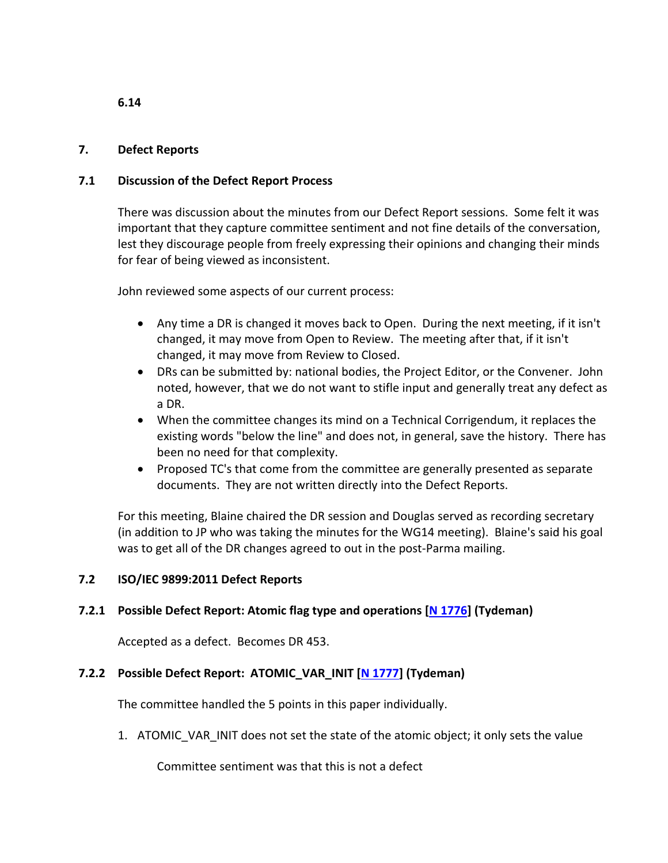## **7. Defect Reports**

## **7.1 Discussion of the Defect Report Process**

There was discussion about the minutes from our Defect Report sessions. Some felt it was important that they capture committee sentiment and not fine details of the conversation, lest they discourage people from freely expressing their opinions and changing their minds for fear of being viewed as inconsistent.

John reviewed some aspects of our current process:

- Any time a DR is changed it moves back to Open. During the next meeting, if it isn't changed, it may move from Open to Review. The meeting after that, if it isn't changed, it may move from Review to Closed.
- DRs can be submitted by: national bodies, the Project Editor, or the Convener. John noted, however, that we do not want to stifle input and generally treat any defect as a DR.
- When the committee changes its mind on a Technical Corrigendum, it replaces the existing words "below the line" and does not, in general, save the history. There has been no need for that complexity.
- Proposed TC's that come from the committee are generally presented as separate documents. They are not written directly into the Defect Reports.

For this meeting, Blaine chaired the DR session and Douglas served as recording secretary (in addition to JP who was taking the minutes for the WG14 meeting). Blaine's said his goal was to get all of the DR changes agreed to out in the post-Parma mailing.

## **7.2 ISO/IEC 9899:2011 Defect Reports**

## **7.2.1 Possible Defect Report: Atomic flag type and operations [N [1776](http://www.open-std.org/jtc1/sc22/wg14/www/docs/n1776.htm)] (Tydeman)**

Accepted as a defect. Becomes DR 453.

## **7.2.2 Possible Defect Report: ATOMIC\_VAR\_INIT [N [1777\]](http://www.open-std.org/jtc1/sc22/wg14/www/docs/n1777.htm) (Tydeman)**

The committee handled the 5 points in this paper individually.

1. ATOMIC VAR INIT does not set the state of the atomic object; it only sets the value

Committee sentiment was that this is not a defect

**6.14**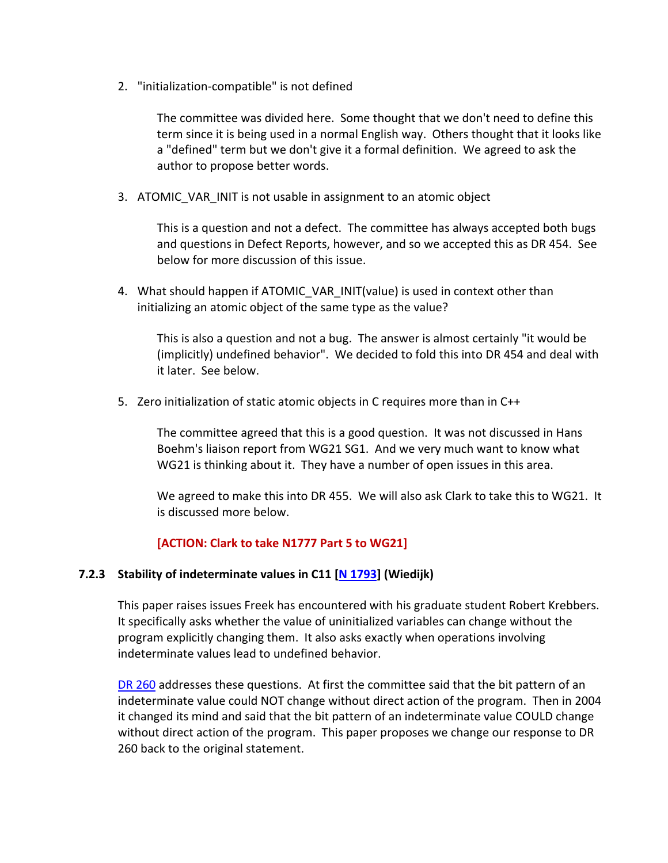2. "initialization‐compatible" is not defined

The committee was divided here. Some thought that we don't need to define this term since it is being used in a normal English way. Others thought that it looks like a "defined" term but we don't give it a formal definition. We agreed to ask the author to propose better words.

3. ATOMIC VAR INIT is not usable in assignment to an atomic object

This is a question and not a defect. The committee has always accepted both bugs and questions in Defect Reports, however, and so we accepted this as DR 454. See below for more discussion of this issue.

4. What should happen if ATOMIC\_VAR\_INIT(value) is used in context other than initializing an atomic object of the same type as the value?

This is also a question and not a bug. The answer is almost certainly "it would be (implicitly) undefined behavior". We decided to fold this into DR 454 and deal with it later. See below.

5. Zero initialization of static atomic objects in C requires more than in C++

The committee agreed that this is a good question. It was not discussed in Hans Boehm's liaison report from WG21 SG1. And we very much want to know what WG21 is thinking about it. They have a number of open issues in this area.

We agreed to make this into DR 455. We will also ask Clark to take this to WG21. It is discussed more below.

## **[ACTION: Clark to take N1777 Part 5 to WG21]**

## **7.2.3 Stability of indeterminate values in C11 [N [1793](http://www.open-std.org/jtc1/sc22/wg14/www/docs/n1793.pdf)] (Wiedijk)**

This paper raises issues Freek has encountered with his graduate student Robert Krebbers. It specifically asks whether the value of uninitialized variables can change without the program explicitly changing them. It also asks exactly when operations involving indeterminate values lead to undefined behavior.

DR [260](http://www.open-std.org/jtc1/sc22/wg14/www/docs/dr_260.htm) addresses these questions. At first the committee said that the bit pattern of an indeterminate value could NOT change without direct action of the program. Then in 2004 it changed its mind and said that the bit pattern of an indeterminate value COULD change without direct action of the program. This paper proposes we change our response to DR 260 back to the original statement.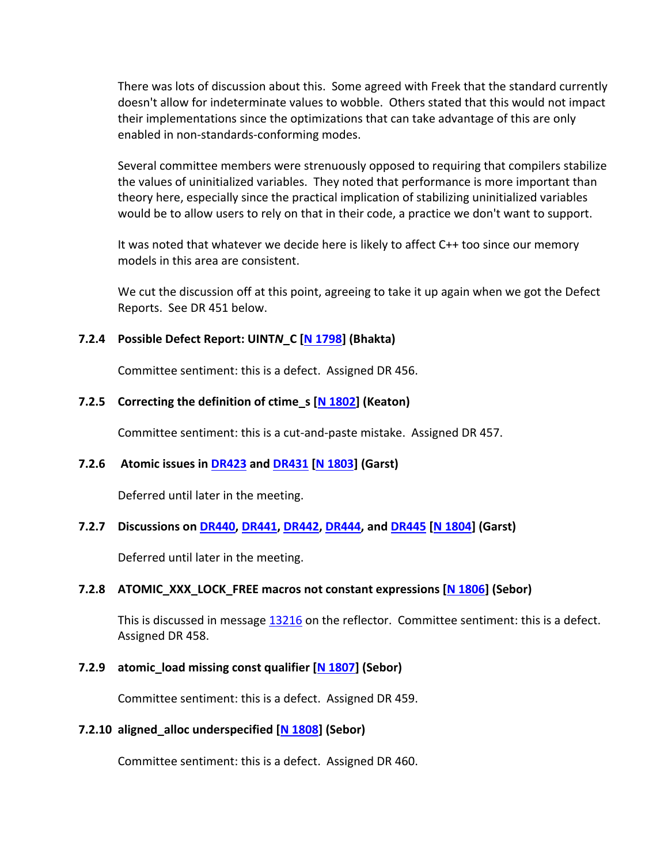There was lots of discussion about this. Some agreed with Freek that the standard currently doesn't allow for indeterminate values to wobble. Others stated that this would not impact their implementations since the optimizations that can take advantage of this are only enabled in non‐standards‐conforming modes.

Several committee members were strenuously opposed to requiring that compilers stabilize the values of uninitialized variables. They noted that performance is more important than theory here, especially since the practical implication of stabilizing uninitialized variables would be to allow users to rely on that in their code, a practice we don't want to support.

It was noted that whatever we decide here is likely to affect C++ too since our memory models in this area are consistent.

We cut the discussion off at this point, agreeing to take it up again when we got the Defect Reports. See DR 451 below.

## **7.2.4 Possible Defect Report: UINT***N***\_C [N [1798\]](http://www.open-std.org/jtc1/sc22/wg14/www/docs/n1798.htm) (Bhakta)**

Committee sentiment: this is a defect. Assigned DR 456.

#### **7.2.5 Correcting the definition of ctime\_s [N [1802](http://www.open-std.org/jtc1/sc22/wg14/www/docs/n1802.htm)] (Keaton)**

Committee sentiment: this is a cut‐and‐paste mistake. Assigned DR 457.

## **7.2.6 Atomic issues in [DR423](http://www.open-std.org/jtc1/sc22/wg14/www/docs/dr_423.htm) and [DR431](http://www.open-std.org/jtc1/sc22/wg14/www/docs/dr_431.htm) [N [1803](http://www.open-std.org/jtc1/sc22/wg14/www/docs/n1803.htm)] (Garst)**

Deferred until later in the meeting.

#### **7.2.7 Discussions on [DR440,](http://www.open-std.org/jtc1/sc22/wg14/www/docs/dr_440.htm) [DR441](http://www.open-std.org/jtc1/sc22/wg14/www/docs/dr_441.htm), [DR442,](http://www.open-std.org/jtc1/sc22/wg14/www/docs/dr_442.htm) [DR444,](http://www.open-std.org/jtc1/sc22/wg14/www/docs/dr_444.htm) and [DR445](http://www.open-std.org/jtc1/sc22/wg14/www/docs/dr_445.htm) [N [1804](http://www.open-std.org/jtc1/sc22/wg14/www/docs/n1804.htm)] (Garst)**

Deferred until later in the meeting.

#### **7.2.8 ATOMIC\_XXX\_LOCK\_FREE macros not constant expressions [N [1806\]](http://www.open-std.org/jtc1/sc22/wg14/www/docs/n1806.htm) (Sebor)**

This is discussed in message [13216](http://www.open-std.org/jtc1/sc22/wg14/13216) on the reflector.Committee sentiment: this is a defect. Assigned DR 458.

#### **7.2.9 atomic\_load missing const qualifier [N [1807\]](http://www.open-std.org/jtc1/sc22/wg14/www/docs/n1807.htm) (Sebor)**

Committee sentiment: this is a defect. Assigned DR 459.

#### **7.2.10 aligned\_alloc underspecified [N [1808](http://www.open-std.org/jtc1/sc22/wg14/www/docs/n1808.htm)] (Sebor)**

Committee sentiment: this is a defect. Assigned DR 460.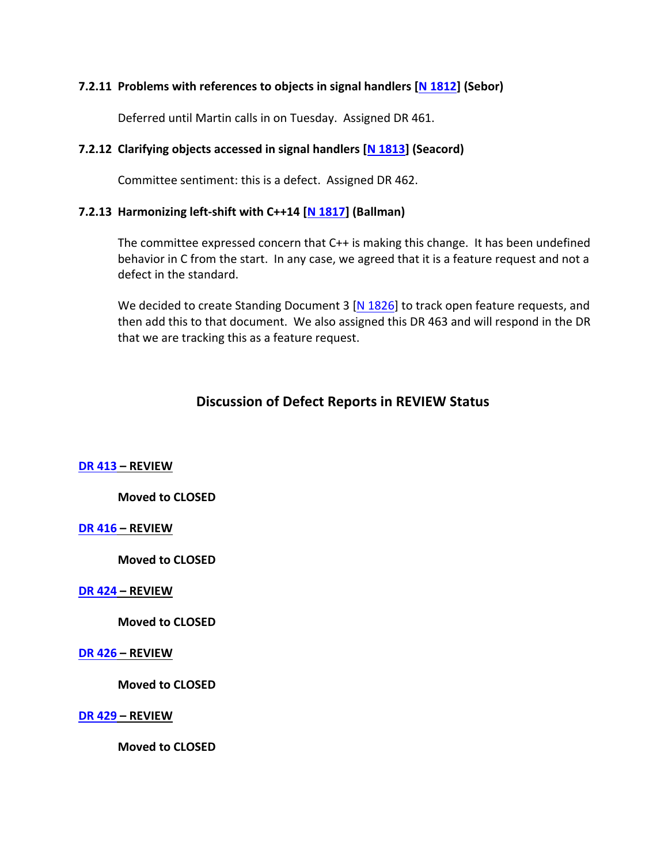## **7.2.11 Problems with references to objects in signal handlers [N [1812\]](http://www.open-std.org/jtc1/sc22/wg14/www/docs/n1812.htm) (Sebor)**

Deferred until Martin calls in on Tuesday. Assigned DR 461.

## **7.2.12 Clarifying objects accessed in signal handlers [N [1813\]](http://www.open-std.org/jtc1/sc22/wg14/www/docs/n1813.htm) (Seacord)**

Committee sentiment: this is a defect. Assigned DR 462.

## **7.2.13 Harmonizing left‐shift with C++14 [N [1817\]](http://www.open-std.org/jtc1/sc22/wg14/www/docs/n1817.htm) (Ballman)**

The committee expressed concern that C++ is making this change. It has been undefined behavior in C from the start. In any case, we agreed that it is a feature request and not a defect in the standard.

We decided to create Standing Document 3 [N [1826\]](http://www.open-std.org/jtc1/sc22/wg14/www/docs/n1826.htm) to track open feature requests, and then add this to that document. We also assigned this DR 463 and will respond in the DR that we are tracking this as a feature request.

# **Discussion of Defect Reports in REVIEW Status**

**DR [413](http://www.open-std.org/jtc1/sc22/wg14/www/docs/dr_413.htm) – REVIEW**

**Moved to CLOSED**

**DR [416](http://www.open-std.org/jtc1/sc22/wg14/www/docs/dr_416.htm) – REVIEW** 

**Moved to CLOSED**

**DR [424](http://www.open-std.org/jtc1/sc22/wg14/www/docs/dr_424.htm) – REVIEW** 

**Moved to CLOSED**

## **DR [426](http://www.open-std.org/jtc1/sc22/wg14/www/docs/dr_426.htm) – REVIEW**

**Moved to CLOSED**

**DR [429](http://www.open-std.org/jtc1/sc22/wg14/www/docs/dr_429.htm) – REVIEW** 

**Moved to CLOSED**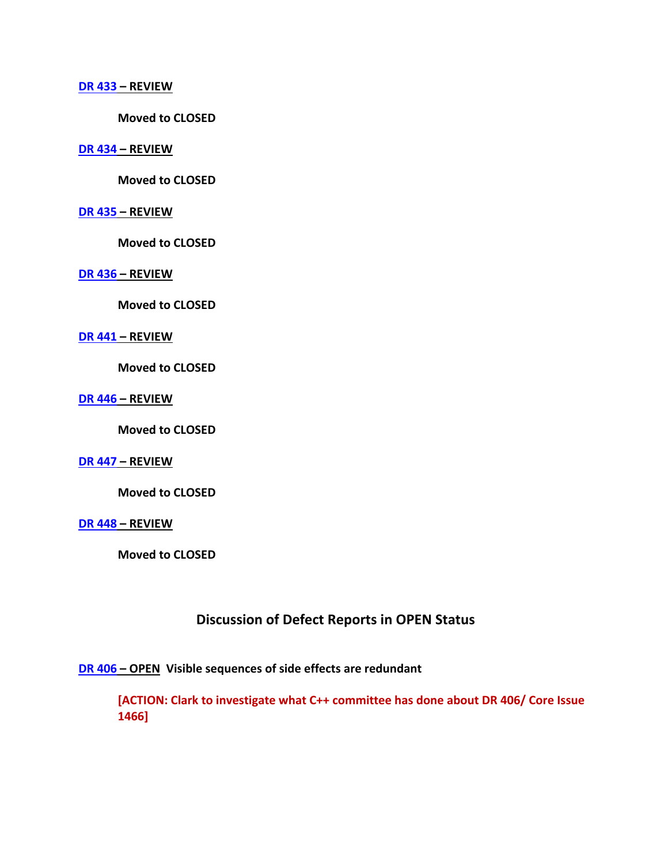#### **DR [433](http://www.open-std.org/jtc1/sc22/wg14/www/docs/dr_433.htm) – REVIEW**

**Moved to CLOSED**

#### **DR [434](http://www.open-std.org/jtc1/sc22/wg14/www/docs/dr_435.htm) – REVIEW**

**Moved to CLOSED**

#### **DR [435](http://www.open-std.org/jtc1/sc22/wg14/www/docs/dr_435.htm) – REVIEW**

**Moved to CLOSED**

#### **DR [436](http://www.open-std.org/jtc1/sc22/wg14/www/docs/dr_436.htm) – REVIEW**

**Moved to CLOSED**

#### **DR [441](http://www.open-std.org/jtc1/sc22/wg14/www/docs/dr_441.htm) – REVIEW**

**Moved to CLOSED**

#### **DR [446](http://www.open-std.org/jtc1/sc22/wg14/www/docs/dr_446.htm) – REVIEW**

**Moved to CLOSED**

#### **DR [447](http://www.open-std.org/jtc1/sc22/wg14/www/docs/dr_447.htm) – REVIEW**

**Moved to CLOSED**

#### **DR [448](http://www.open-std.org/jtc1/sc22/wg14/www/docs/dr_448.htm) – REVIEW**

**Moved to CLOSED**

# **Discussion of Defect Reports in OPEN Status**

**DR [406](http://www.open-std.org/jtc1/sc22/wg14/www/docs/dr_406.htm) – OPEN Visible sequences of side effects are redundant**

**[ACTION: Clark to investigate what C++ committee has done about DR 406/ Core Issue 1466]**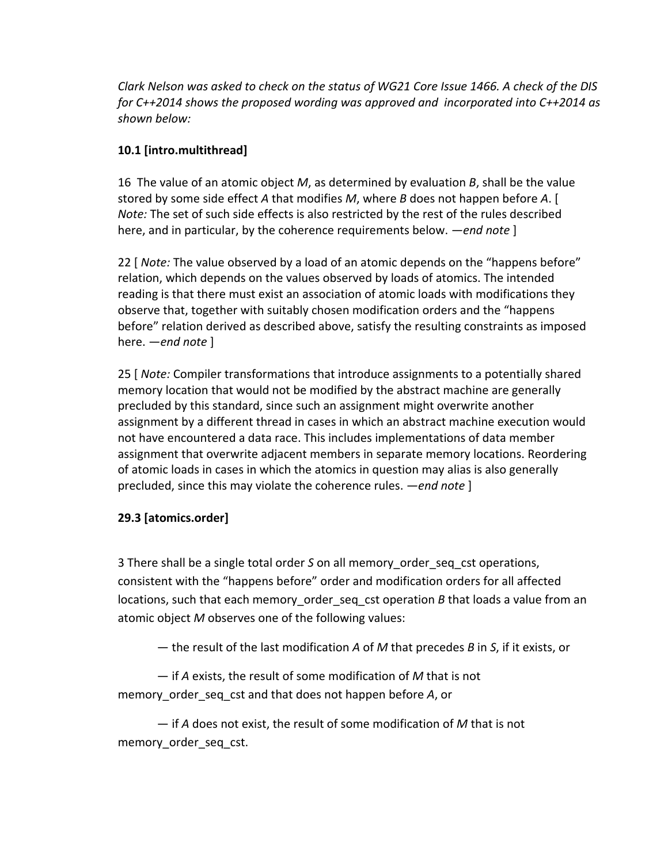*Clark Nelson was asked to check on the status of WG21 Core Issue 1466. A check of the DIS for C++2014 shows the proposed wording was approved and incorporated into C++2014 as shown below:*

# **10.1 [intro.multithread]**

16 The value of an atomic object *M*, as determined by evaluation *B*, shall be the value stored by some side effect *A* that modifies *M*, where *B* does not happen before *A*. [ *Note:* The set of such side effects is also restricted by the rest of the rules described here, and in particular, by the coherence requirements below. *—end note* ]

22 [ *Note:* The value observed by a load of an atomic depends on the "happens before" relation, which depends on the values observed by loads of atomics. The intended reading is that there must exist an association of atomic loads with modifications they observe that, together with suitably chosen modification orders and the "happens before" relation derived as described above, satisfy the resulting constraints as imposed here. *—end note* ]

25 [ *Note:* Compiler transformations that introduce assignments to a potentially shared memory location that would not be modified by the abstract machine are generally precluded by this standard, since such an assignment might overwrite another assignment by a different thread in cases in which an abstract machine execution would not have encountered a data race. This includes implementations of data member assignment that overwrite adjacent members in separate memory locations. Reordering of atomic loads in cases in which the atomics in question may alias is also generally precluded, since this may violate the coherence rules. *—end note* ]

## **29.3 [atomics.order]**

3 There shall be a single total order *S* on all memory\_order\_seq\_cst operations, consistent with the "happens before" order and modification orders for all affected locations, such that each memory order seq cst operation *B* that loads a value from an atomic object *M* observes one of the following values:

— the result of the last modification *A* of *M* that precedes *B* in *S*, if it exists, or

— if *A* exists, the result of some modification of *M* that is not memory\_order\_seq\_cst and that does not happen before *A*, or

— if *A* does not exist, the result of some modification of *M* that is not memory order seq cst.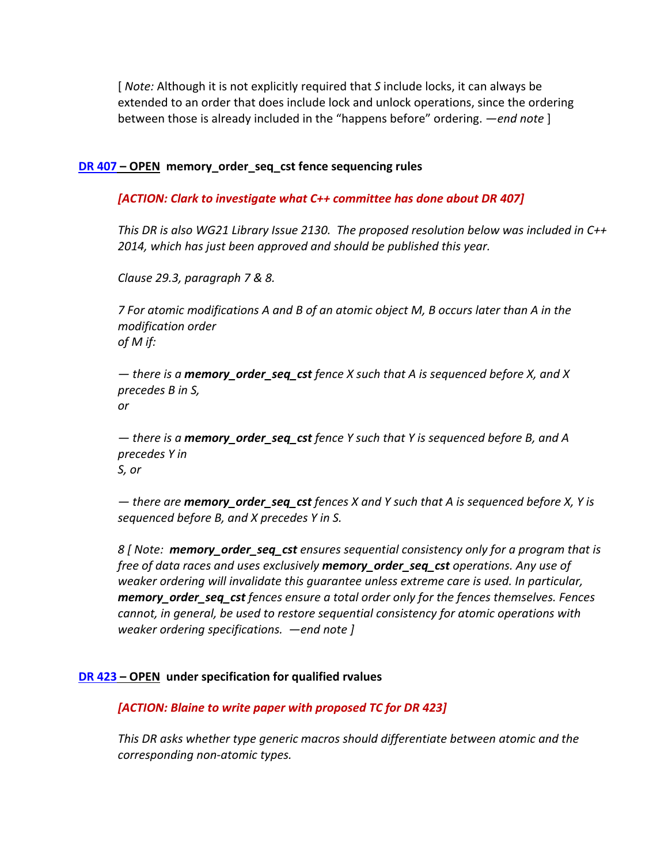[ *Note:* Although it is not explicitly required that *S* include locks, it can always be extended to an order that does include lock and unlock operations, since the ordering between those is already included in the "happens before" ordering. *—end note* ]

## **DR [407](http://www.open-std.org/jtc1/sc22/wg14/www/docs/dr_407.htm) – OPEN memory\_order\_seq\_cst fence sequencing rules**

## *[ACTION: Clark to investigate what C++ committee has done about DR 407]*

*This DR is also WG21 Library Issue 2130. The proposed resolution below was included in C++ 2014, which has just been approved and should be published this year.*

*Clause 29.3, paragraph 7 & 8.*

*7 For atomic modifications A and B of an atomic object M, B occurs later than A in the modification order of M if:*

*— there is a memory\_order\_seq\_cst fence X such that A is sequenced before X, and X precedes B in S,*

*or*

*— there is a memory\_order\_seq\_cst fence Y such that Y is sequenced before B, and A precedes Y in S, or*

*— there are memory\_order\_seq\_cst fences X and Y such that A is sequenced before X, Y is sequenced before B, and X precedes Y in S.*

*8 [ Note: memory\_order\_seq\_cst ensures sequential consistency only for a program that is free of data races and uses exclusively memory\_order\_seq\_cst operations. Any use of weaker ordering will invalidate this guarantee unless extreme care is used. In particular, memory\_order\_seq\_cst fences ensure a total order only for the fences themselves. Fences cannot, in general, be used to restore sequential consistency for atomic operations with weaker ordering specifications. —end note ]*

## **DR [423](http://www.open-std.org/jtc1/sc22/wg14/www/docs/dr_423.htm) – OPEN under specification for qualified rvalues**

## *[ACTION: Blaine to write paper with proposed TC for DR 423]*

*This DR asks whether type generic macros should differentiate between atomic and the corresponding non‐atomic types.*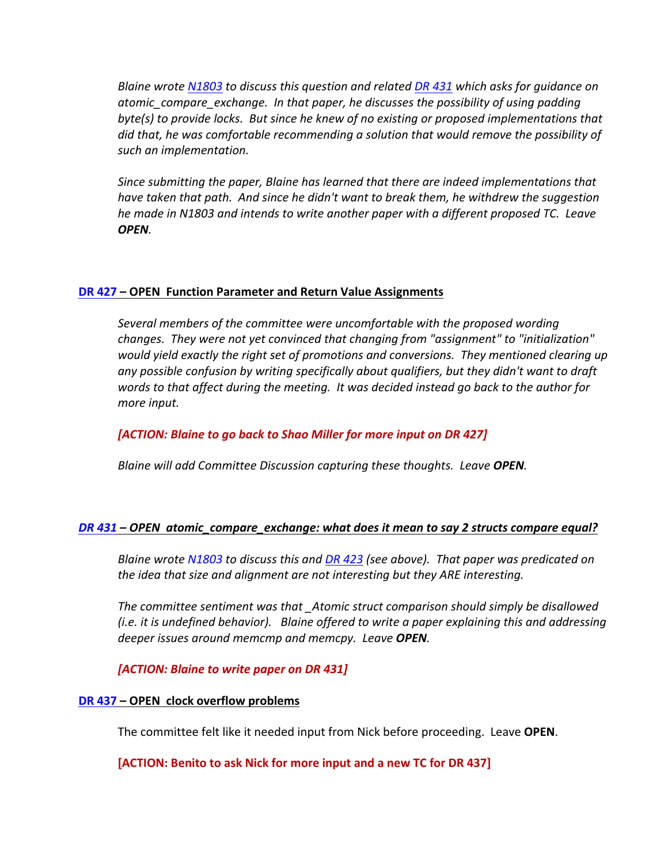*Blaine wrote [N1803](http://www.open-std.org/jtc1/sc22/wg14/www/docs/n1803.htm) to discuss this question and related DR [431](http://www.open-std.org/jtc1/sc22/wg14/www/docs/dr_431.htm) which asks for guidance on atomic\_compare\_exchange. In that paper, he discusses the possibility of using padding byte(s) to provide locks. But since he knew of no existing or proposed implementations that did that, he was comfortable recommending a solution that would remove the possibility of such an implementation.*

*Since submitting the paper, Blaine has learned that there are indeed implementations that have taken that path. And since he didn't want to break them, he withdrew the suggestion he made in N1803 and intends to write another paper with a different proposed TC. Leave OPEN.*

## **DR [427](http://www.open-std.org/jtc1/sc22/wg14/www/docs/dr_427.htm) – OPEN Function Parameter and Return Value Assignments**

*Several members of the committee were uncomfortable with the proposed wording changes. They were not yet convinced that changing from "assignment" to "initialization" would yield exactly the right set of promotions and conversions. They mentioned clearing up any possible confusion by writing specifically about qualifiers, but they didn't want to draft words to that affect during the meeting. It was decided instead go back to the author for more input.*

## *[ACTION: Blaine to go back to Shao Miller for more input on DR 427]*

*Blaine will add Committee Discussion capturing these thoughts. Leave OPEN.*

## *DR [431](http://www.open-std.org/jtc1/sc22/wg14/www/docs/dr_431.htm) – OPEN atomic\_compare\_exchange: what does it mean to say 2 structs compare equal?*

*Blaine wrote [N1803](http://www.open-std.org/jtc1/sc22/wg14/www/docs/n1803.htm) to discuss this and DR [423](http://www.open-std.org/jtc1/sc22/wg14/www/docs/dr_423.htm) (see above). That paper was predicated on the idea that size and alignment are not interesting but they ARE interesting.*

*The committee sentiment was that \_Atomic struct comparison should simply be disallowed (i.e. it is undefined behavior). Blaine offered to write a paper explaining this and addressing deeper issues around memcmp and memcpy. Leave OPEN.*

## *[ACTION: Blaine to write paper on DR 431]*

#### **DR [437](http://www.open-std.org/jtc1/sc22/wg14/www/docs/dr_437.htm) – OPEN clock overflow problems**

The committee felt like it needed input from Nick before proceeding. Leave **OPEN**.

**[ACTION: Benito to ask Nick for more input and a new TC for DR 437]**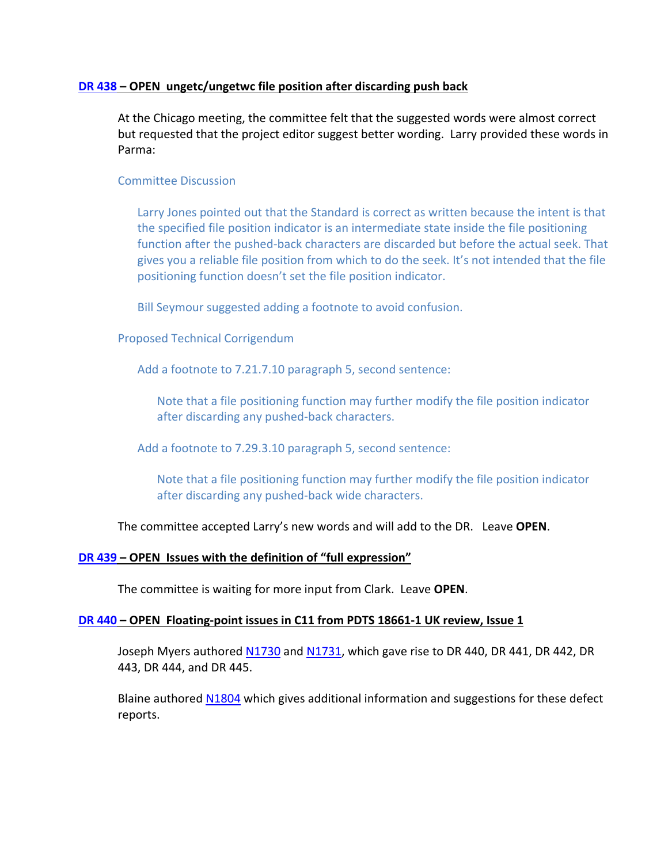## **DR [438](http://www.open-std.org/jtc1/sc22/wg14/www/docs/dr_438.htm) – OPEN ungetc/ungetwc file position after discarding push back**

At the Chicago meeting, the committee felt that the suggested words were almost correct but requested that the project editor suggest better wording. Larry provided these words in Parma:

#### Committee Discussion

Larry Jones pointed out that the Standard is correct as written because the intent is that the specified file position indicator is an intermediate state inside the file positioning function after the pushed-back characters are discarded but before the actual seek. That gives you a reliable file position from which to do the seek. It's not intended that the file positioning function doesn't set the file position indicator.

Bill Seymour suggested adding a footnote to avoid confusion.

Proposed Technical Corrigendum

Add a footnote to 7.21.7.10 paragraph 5, second sentence:

Note that a file positioning function may further modify the file position indicator after discarding any pushed‐back characters.

Add a footnote to 7.29.3.10 paragraph 5, second sentence:

Note that a file positioning function may further modify the file position indicator after discarding any pushed‐back wide characters.

## The committee accepted Larry's new words and will add to the DR. Leave **OPEN**.

#### **DR [439](http://www.open-std.org/jtc1/sc22/wg14/www/docs/dr_439.htm) – OPEN Issues with the definition of "full expression"**

The committee is waiting for more input from Clark. Leave **OPEN**.

#### **DR [440](http://www.open-std.org/jtc1/sc22/wg14/www/docs/dr_440.html) – OPEN Floating‐point issues in C11 from PDTS 18661‐1 UK review, Issue 1**

Joseph Myers authored [N1730](http://www.open-std.org/jtc1/sc22/wg14/www/docs/n1730.pdf) and [N1731](http://www.open-std.org/jtc1/sc22/wg14/www/docs/n1731.pdf), which gave rise to DR 440, DR 441, DR 442, DR 443, DR 444, and DR 445.

Blaine authored [N1804](http://www.open-std.org/jtc1/sc22/wg14/www/docs/n1804.htm) which gives additional information and suggestions for these defect reports.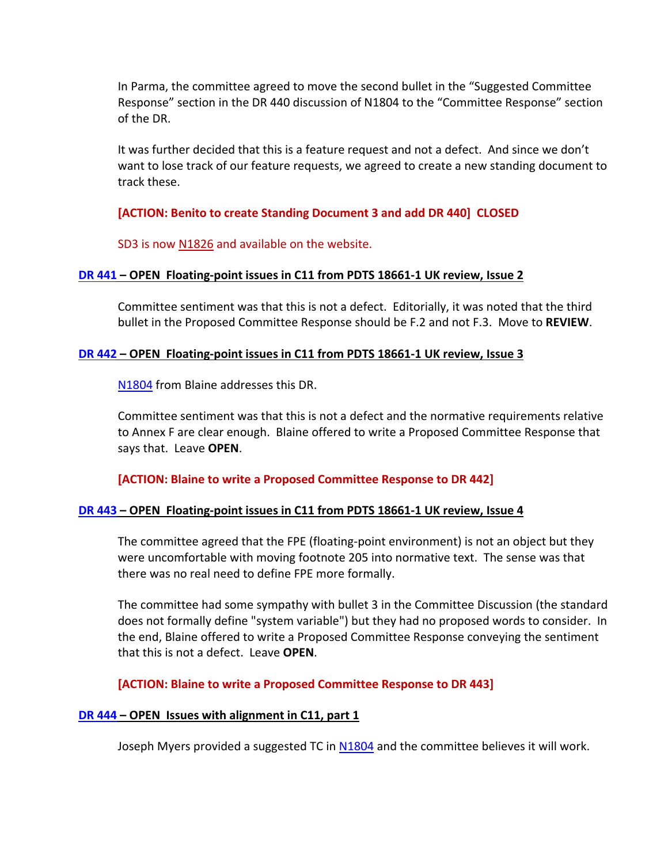In Parma, the committee agreed to move the second bullet in the "Suggested Committee Response" section in the DR 440 discussion of N1804 to the "Committee Response" section of the DR.

It was further decided that this is a feature request and not a defect. And since we don't want to lose track of our feature requests, we agreed to create a new standing document to track these.

**[ACTION: Benito to create Standing Document 3 and add DR 440] CLOSED**

SD3 is now [N1826](http://www.open-std.org/jtc1/sc22/wg14/www/docs/n1826.htm) and available on the website.

## **DR [441](http://www.open-std.org/jtc1/sc22/wg14/www/docs/dr_441.htm) – OPEN Floating‐point issues in C11 from PDTS 18661‐1 UK review, Issue 2**

Committee sentiment was that this is not a defect. Editorially, it was noted that the third bullet in the Proposed Committee Response should be F.2 and not F.3. Move to **REVIEW**.

## **DR [442](http://www.open-std.org/jtc1/sc22/wg14/www/docs/dr_442.htm) – OPEN Floating‐point issues in C11 from PDTS 18661‐1 UK review, Issue 3**

[N1804](http://www.open-std.org/jtc1/sc22/wg14/www/docs/n1804.htm) from Blaine addresses this DR.

Committee sentiment was that this is not a defect and the normative requirements relative to Annex F are clear enough. Blaine offered to write a Proposed Committee Response that says that. Leave **OPEN**.

## **[ACTION: Blaine to write a Proposed Committee Response to DR 442]**

## **DR [443](http://www.open-std.org/jtc1/sc22/wg14/www/docs/dr_443.htm) – OPEN Floating‐point issues in C11 from PDTS 18661‐1 UK review, Issue 4**

The committee agreed that the FPE (floating‐point environment) is not an object but they were uncomfortable with moving footnote 205 into normative text. The sense was that there was no real need to define FPE more formally.

The committee had some sympathy with bullet 3 in the Committee Discussion (the standard does not formally define "system variable") but they had no proposed words to consider. In the end, Blaine offered to write a Proposed Committee Response conveying the sentiment that this is not a defect. Leave **OPEN**.

## **[ACTION: Blaine to write a Proposed Committee Response to DR 443]**

## **DR [444](http://www.open-std.org/jtc1/sc22/wg14/www/docs/dr_444.htm) – OPEN Issues with alignment in C11, part 1**

Joseph Myers provided a suggested TC in  $N1804$  and the committee believes it will work.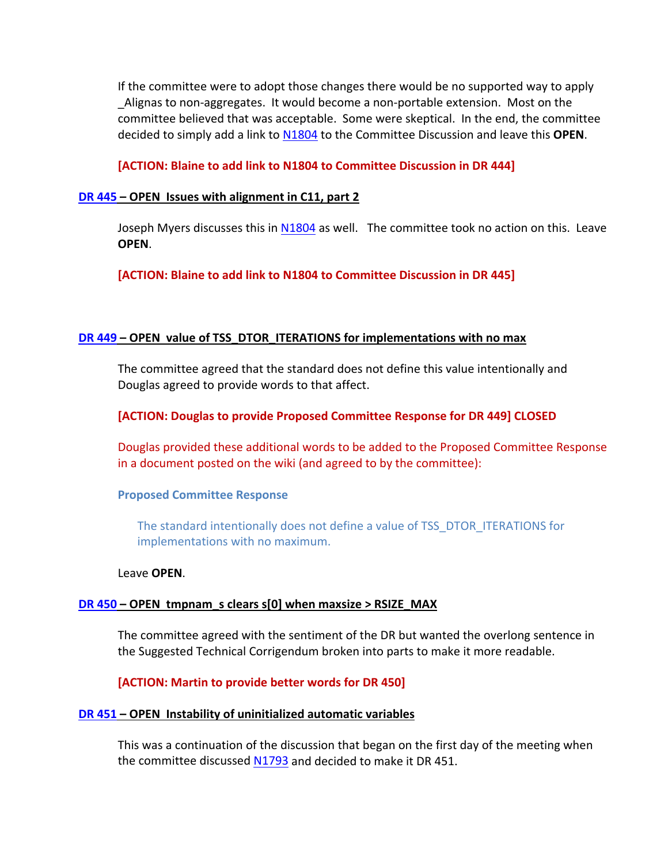If the committee were to adopt those changes there would be no supported way to apply \_Alignas to non‐aggregates. It would become a non‐portable extension. Most on the committee believed that was acceptable. Some were skeptical. In the end, the committee decided to simply add a link to [N1804](http://www.open-std.org/jtc1/sc22/wg14/www/docs/n1804.htm) to the Committee Discussion and leave this **OPEN**.

#### **[ACTION: Blaine to add link to N1804 to Committee Discussion in DR 444]**

#### **DR [445](http://www.open-std.org/jtc1/sc22/wg14/www/docs/dr_445.htm) – OPEN Issues with alignment in C11, part 2**

Joseph Myers discusses this in [N1804](http://www.open-std.org/jtc1/sc22/wg14/www/docs/n1804.htm) as well. The committee took no action on this. Leave **OPEN**.

**[ACTION: Blaine to add link to N1804 to Committee Discussion in DR 445]**

#### **DR [449](http://www.open-std.org/jtc1/sc22/wg14/www/docs/dr_449.htm) – OPEN value of TSS\_DTOR\_ITERATIONS for implementations with no max**

The committee agreed that the standard does not define this value intentionally and Douglas agreed to provide words to that affect.

#### **[ACTION: Douglas to provide Proposed Committee Response for DR 449] CLOSED**

Douglas provided these additional words to be added to the Proposed Committee Response in a document posted on the wiki (and agreed to by the committee):

#### **Proposed Committee Response**

The standard intentionally does not define a value of TSS\_DTOR\_ITERATIONS for implementations with no maximum.

#### Leave **OPEN**.

#### **DR [450](http://www.open-std.org/jtc1/sc22/wg14/www/docs/dr_450.htm) – OPEN tmpnam\_s clears s[0] when maxsize > RSIZE\_MAX**

The committee agreed with the sentiment of the DR but wanted the overlong sentence in the Suggested Technical Corrigendum broken into parts to make it more readable.

#### **[ACTION: Martin to provide better words for DR 450]**

#### **DR [451](http://www.open-std.org/jtc1/sc22/wg14/www/docs/dr_451.htm) – OPEN Instability of uninitialized automatic variables**

This was a continuation of the discussion that began on the first day of the meeting when the committee discussed [N1793](http://www.open-std.org/jtc1/sc22/wg14/www/docs/n1793.pdf) and decided to make it DR 451.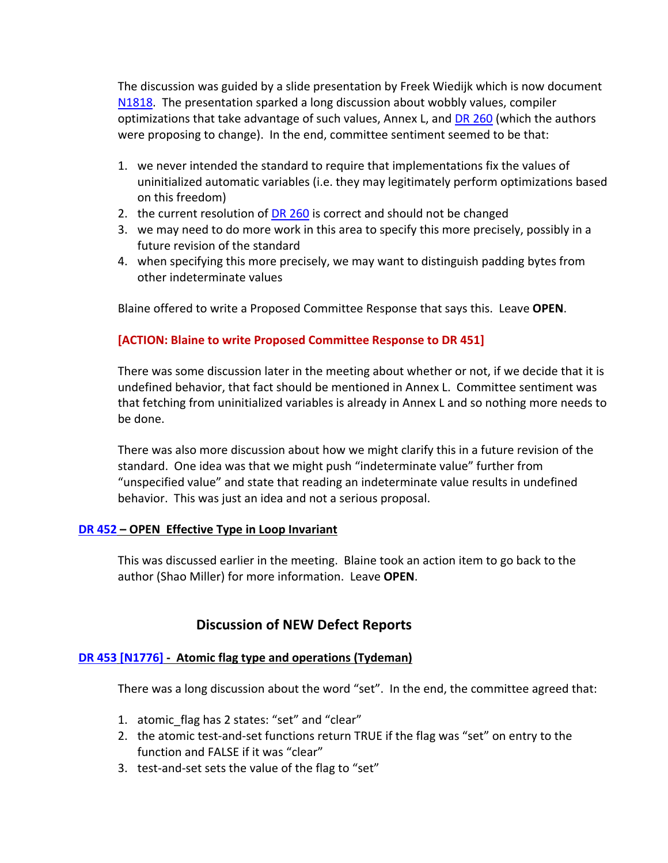The discussion was guided by a slide presentation by Freek Wiedijk which is now document [N1818](http://www.open-std.org/jtc1/sc22/wg14/www/docs/n1818.pdf). The presentation sparked a long discussion about wobbly values, compiler optimizations that take advantage of such values, Annex L, and DR [260](http://www.open-std.org/jtc1/sc22/wg14/www/docs/dr_260.htm) (which the authors were proposing to change). In the end, committee sentiment seemed to be that:

- 1. we never intended the standard to require that implementations fix the values of uninitialized automatic variables (i.e. they may legitimately perform optimizations based on this freedom)
- 2. the current resolution of DR [260](http://www.open-std.org/jtc1/sc22/wg14/www/docs/dr_260.htm) is correct and should not be changed
- 3. we may need to do more work in this area to specify this more precisely, possibly in a future revision of the standard
- 4. when specifying this more precisely, we may want to distinguish padding bytes from other indeterminate values

Blaine offered to write a Proposed Committee Response that says this. Leave **OPEN**.

## **[ACTION: Blaine to write Proposed Committee Response to DR 451]**

There was some discussion later in the meeting about whether or not, if we decide that it is undefined behavior, that fact should be mentioned in Annex L. Committee sentiment was that fetching from uninitialized variables is already in Annex L and so nothing more needs to be done.

There was also more discussion about how we might clarify this in a future revision of the standard. One idea was that we might push "indeterminate value" further from "unspecified value" and state that reading an indeterminate value results in undefined behavior. This was just an idea and not a serious proposal.

## **DR [452](http://www.open-std.org/jtc1/sc22/wg14/www/docs/dr_452.htm) – OPEN Effective Type in Loop Invariant**

This was discussed earlier in the meeting. Blaine took an action item to go back to the author (Shao Miller) for more information. Leave **OPEN**.

# **Discussion of NEW Defect Reports**

## **DR [453](http://www.open-std.org/jtc1/sc22/wg14/www/docs/dr_453.htm) [\[N1776\]](http://www.open-std.org/jtc1/sc22/wg14/www/docs/n1776.htm) ‐ Atomic flag type and operations (Tydeman)**

There was a long discussion about the word "set". In the end, the committee agreed that:

- 1. atomic flag has 2 states: "set" and "clear"
- 2. the atomic test-and-set functions return TRUE if the flag was "set" on entry to the function and FALSE if it was "clear"
- 3. test-and-set sets the value of the flag to "set"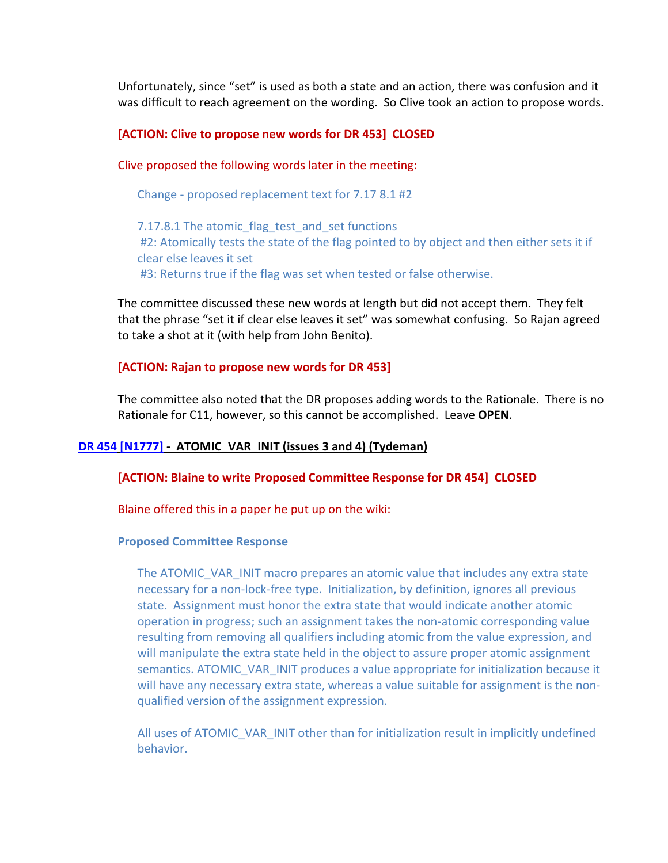Unfortunately, since "set" is used as both a state and an action, there was confusion and it was difficult to reach agreement on the wording. So Clive took an action to propose words.

## **[ACTION: Clive to propose new words for DR 453] CLOSED**

Clive proposed the following words later in the meeting:

Change ‐ proposed replacement text for 7.17 8.1 #2

7.17.8.1 The atomic\_flag\_test\_and set functions #2: Atomically tests the state of the flag pointed to by object and then either sets it if clear else leaves it set #3: Returns true if the flag was set when tested or false otherwise.

The committee discussed these new words at length but did not accept them. They felt that the phrase "set it if clear else leaves it set" was somewhat confusing. So Rajan agreed to take a shot at it (with help from John Benito).

#### **[ACTION: Rajan to propose new words for DR 453]**

The committee also noted that the DR proposes adding words to the Rationale. There is no Rationale for C11, however, so this cannot be accomplished. Leave **OPEN**.

## **DR [454](http://www.open-std.org/jtc1/sc22/wg14/www/docs/dr_454.htm) [\[N1777\]](http://www.open-std.org/jtc1/sc22/wg14/www/docs/n1777.htm) ‐ ATOMIC\_VAR\_INIT (issues 3 and 4) (Tydeman)**

#### **[ACTION: Blaine to write Proposed Committee Response for DR 454] CLOSED**

Blaine offered this in a paper he put up on the wiki:

#### **Proposed Committee Response**

The ATOMIC VAR INIT macro prepares an atomic value that includes any extra state necessary for a non‐lock‐free type. Initialization, by definition, ignores all previous state. Assignment must honor the extra state that would indicate another atomic operation in progress; such an assignment takes the non‐atomic corresponding value resulting from removing all qualifiers including atomic from the value expression, and will manipulate the extra state held in the object to assure proper atomic assignment semantics. ATOMIC\_VAR\_INIT produces a value appropriate for initialization because it will have any necessary extra state, whereas a value suitable for assignment is the nonqualified version of the assignment expression.

All uses of ATOMIC\_VAR\_INIT other than for initialization result in implicitly undefined behavior.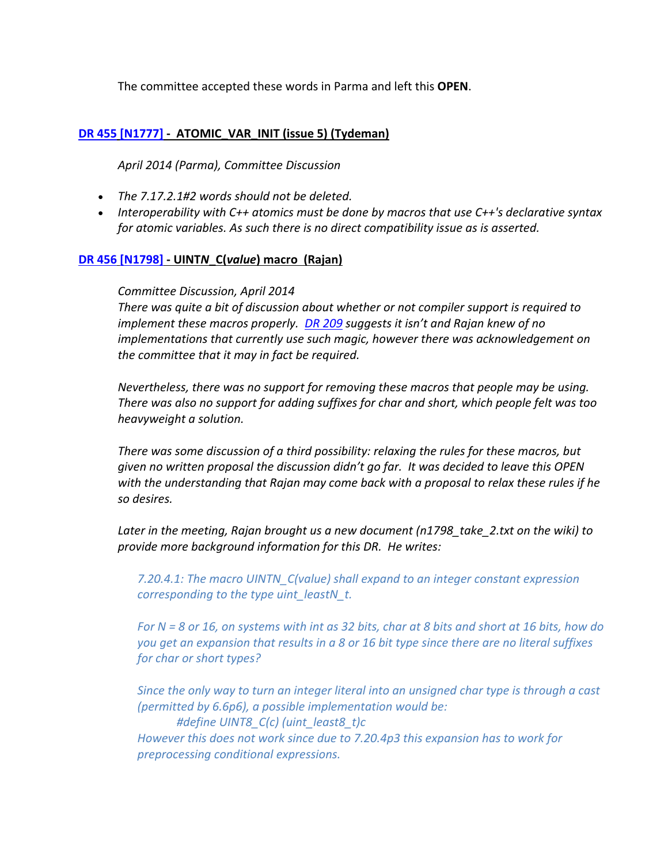The committee accepted these words in Parma and left this **OPEN**.

## **DR [455](http://www.open-std.org/jtc1/sc22/wg14/www/docs/dr_455.htm) [\[N1777\]](http://www.open-std.org/jtc1/sc22/wg14/www/docs/n1777.htm) ‐ ATOMIC\_VAR\_INIT (issue 5) (Tydeman)**

*April 2014 (Parma), Committee Discussion*

- *The 7.17.2.1#2 words should not be deleted.*
- *Interoperability with C++ atomics must be done by macros that use C++'s declarative syntax for atomic variables. As such there is no direct compatibility issue as is asserted.*

## **DR [456](http://www.open-std.org/jtc1/sc22/wg14/www/docs/dr_455.htm) [\[N1798\]](http://www.open-std.org/jtc1/sc22/wg14/www/docs/n1798.htm) ‐ UINT***N***\_C(***value***) macro (Rajan)**

## *Committee Discussion, April 2014*

*There was quite a bit of discussion about whether or not compiler support is required to implement these macros properly. DR [209](http://www.open-std.org/jtc1/sc22/wg14/www/docs/dr_209.htm) suggests it isn't and Rajan knew of no implementations that currently use such magic, however there was acknowledgement on the committee that it may in fact be required.* 

*Nevertheless, there was no support for removing these macros that people may be using. There was also no support for adding suffixes for char and short, which people felt was too heavyweight a solution.*

*There was some discussion of a third possibility: relaxing the rules for these macros, but given no written proposal the discussion didn't go far. It was decided to leave this OPEN with the understanding that Rajan may come back with a proposal to relax these rules if he so desires.*

*Later in the meeting, Rajan brought us a new document (n1798\_take\_2.txt on the wiki) to provide more background information for this DR. He writes:*

*7.20.4.1: The macro UINTN\_C(value) shall expand to an integer constant expression corresponding to the type uint\_leastN\_t.* 

For  $N = 8$  or 16, on systems with int as 32 bits, char at 8 bits and short at 16 bits, how do *you get an expansion that results in a 8 or 16 bit type since there are no literal suffixes for char or short types?*

*Since the only way to turn an integer literal into an unsigned char type is through a cast (permitted by 6.6p6), a possible implementation would be: #define UINT8\_C(c) (uint\_least8\_t)c However this does not work since due to 7.20.4p3 this expansion has to work for preprocessing conditional expressions.*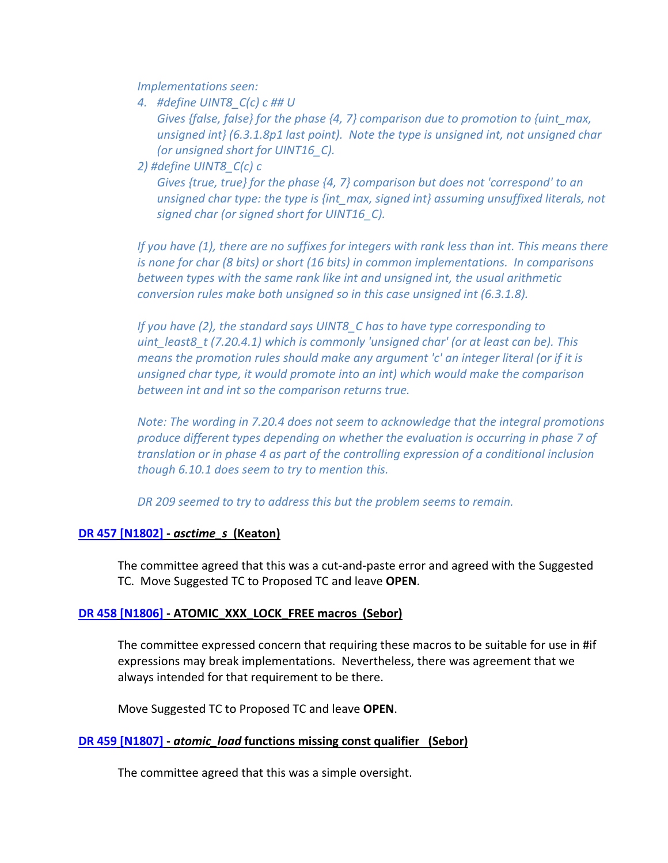*Implementations seen:*

*4. #define UINT8\_C(c) c ## U*

*Gives {false, false} for the phase {4, 7} comparison due to promotion to {uint\_max, unsigned int} (6.3.1.8p1 last point). Note the type is unsigned int, not unsigned char (or unsigned short for UINT16\_C).*

*2) #define UINT8\_C(c) c*

*Gives {true, true} for the phase {4, 7} comparison but does not 'correspond' to an unsigned char type: the type is {int\_max, signed int} assuming unsuffixed literals, not signed char (or signed short for UINT16\_C).*

*If you have (1), there are no suffixes for integers with rank less than int. This means there is none for char (8 bits) or short (16 bits) in common implementations. In comparisons between types with the same rank like int and unsigned int, the usual arithmetic conversion rules make both unsigned so in this case unsigned int (6.3.1.8).*

*If you have (2), the standard says UINT8\_C has to have type corresponding to uint\_least8\_t (7.20.4.1) which is commonly 'unsigned char' (or at least can be). This means the promotion rules should make any argument 'c' an integer literal (or if it is unsigned char type, it would promote into an int) which would make the comparison between int and int so the comparison returns true.*

*Note: The wording in 7.20.4 does not seem to acknowledge that the integral promotions produce different types depending on whether the evaluation is occurring in phase 7 of translation or in phase 4 as part of the controlling expression of a conditional inclusion though 6.10.1 does seem to try to mention this.*

*DR 209 seemed to try to address this but the problem seems to remain.*

## **DR [457](http://www.open-std.org/jtc1/sc22/wg14/www/docs/dr_457.htm) [\[N1802\]](http://www.open-std.org/jtc1/sc22/wg14/www/docs/n1802.htm) ‐** *asctime\_s* **(Keaton)**

The committee agreed that this was a cut‐and‐paste error and agreed with the Suggested TC. Move Suggested TC to Proposed TC and leave **OPEN**.

## **DR [458](http://www.open-std.org/jtc1/sc22/wg14/www/docs/dr_458.htm) [\[N1806\]](http://www.open-std.org/jtc1/sc22/wg14/www/docs/n1806.htm) ‐ ATOMIC\_XXX\_LOCK\_FREE macros (Sebor)**

The committee expressed concern that requiring these macros to be suitable for use in #if expressions may break implementations. Nevertheless, there was agreement that we always intended for that requirement to be there.

Move Suggested TC to Proposed TC and leave **OPEN**.

## **DR [459](http://www.open-std.org/jtc1/sc22/wg14/www/docs/dr_459.htm) [\[N1807\]](http://www.open-std.org/jtc1/sc22/wg14/www/docs/n1807.htm) ‐** *atomic\_load* **functions missing const qualifier (Sebor)**

The committee agreed that this was a simple oversight.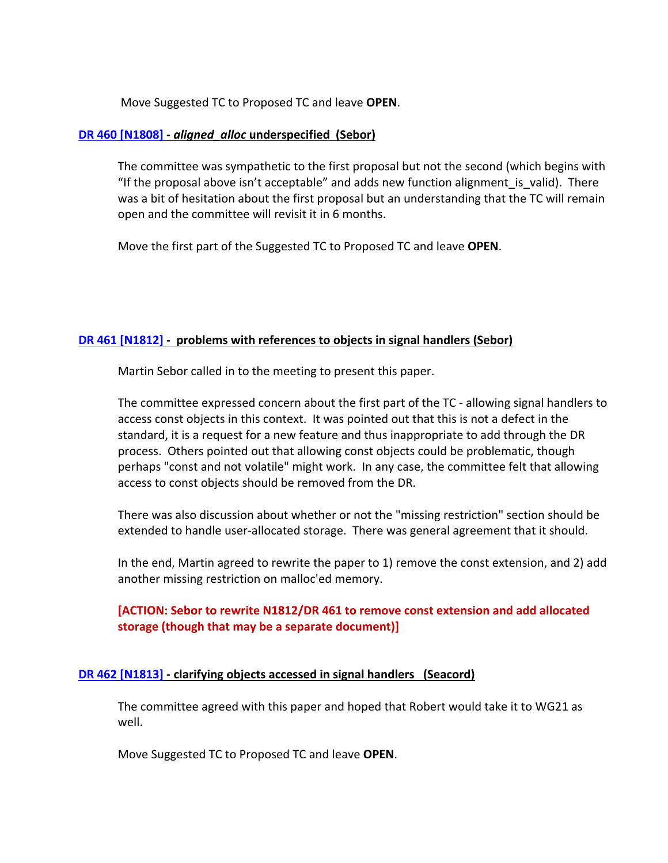Move Suggested TC to Proposed TC and leave **OPEN**.

#### **DR [460](http://www.open-std.org/jtc1/sc22/wg14/www/docs/dr_460.htm) [\[N1808\]](http://www.open-std.org/jtc1/sc22/wg14/www/docs/n1808.htm) ‐** *aligned\_alloc* **underspecified (Sebor)**

The committee was sympathetic to the first proposal but not the second (which begins with "If the proposal above isn't acceptable" and adds new function alignment is valid). There was a bit of hesitation about the first proposal but an understanding that the TC will remain open and the committee will revisit it in 6 months.

Move the first part of the Suggested TC to Proposed TC and leave **OPEN**.

## **DR [461](http://www.open-std.org/jtc1/sc22/wg14/www/docs/dr_461.htm) [\[N1812\]](http://www.open-std.org/jtc1/sc22/wg14/www/docs/n1812.htm) ‐ problems with references to objects in signal handlers (Sebor)**

Martin Sebor called in to the meeting to present this paper.

The committee expressed concern about the first part of the TC - allowing signal handlers to access const objects in this context. It was pointed out that this is not a defect in the standard, it is a request for a new feature and thus inappropriate to add through the DR process. Others pointed out that allowing const objects could be problematic, though perhaps "const and not volatile" might work. In any case, the committee felt that allowing access to const objects should be removed from the DR.

There was also discussion about whether or not the "missing restriction" section should be extended to handle user‐allocated storage. There was general agreement that it should.

In the end, Martin agreed to rewrite the paper to 1) remove the const extension, and 2) add another missing restriction on malloc'ed memory.

# **[ACTION: Sebor to rewrite N1812/DR 461 to remove const extension and add allocated storage (though that may be a separate document)]**

## **DR [462](http://www.open-std.org/jtc1/sc22/wg14/www/docs/dr_462.htm) [\[N1813\]](http://www.open-std.org/jtc1/sc22/wg14/www/docs/n1813.htm) ‐ clarifying objects accessed in signal handlers (Seacord)**

The committee agreed with this paper and hoped that Robert would take it to WG21 as well.

Move Suggested TC to Proposed TC and leave **OPEN**.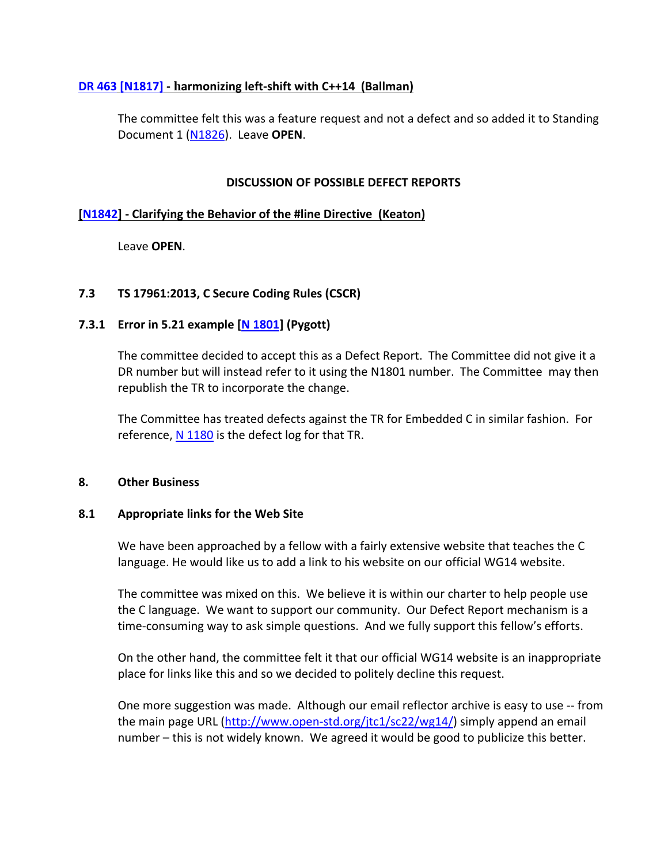## **DR [463](http://www.open-std.org/jtc1/sc22/wg14/www/docs/dr_463.htm) [\[N1817\]](http://www.open-std.org/jtc1/sc22/wg14/www/docs/n1817.htm) ‐ harmonizing left‐shift with C++14 (Ballman)**

The committee felt this was a feature request and not a defect and so added it to Standing Document 1 [\(N1826](http://www.open-std.org/jtc1/sc22/wg14/www/docs/n1826.htm)). Leave **OPEN**.

## **DISCUSSION OF POSSIBLE DEFECT REPORTS**

## **[[N1842](http://www.open-std.org/jtc1/sc22/wg14/www/docs/n1842.htm)] ‐ Clarifying the Behavior of the #line Directive (Keaton)**

Leave **OPEN**.

## **7.3 TS 17961:2013, C Secure Coding Rules (CSCR)**

## **7.3.1 Error in 5.21 example [N [1801](http://www.open-std.org/jtc1/sc22/wg14/www/docs/n1801.htm)] (Pygott)**

The committee decided to accept this as a Defect Report. The Committee did not give it a DR number but will instead refer to it using the N1801 number. The Committee may then republish the TR to incorporate the change.

The Committee has treated defects against the TR for Embedded C in similar fashion. For reference, N [1180](http://www.open-std.org/jtc1/sc22/wg14/www/docs/n1180.pdf) is the defect log for that TR.

## **8. Other Business**

## **8.1 Appropriate links for the Web Site**

We have been approached by a fellow with a fairly extensive website that teaches the C language. He would like us to add a link to his website on our official WG14 website.

The committee was mixed on this. We believe it is within our charter to help people use the C language. We want to support our community. Our Defect Report mechanism is a time-consuming way to ask simple questions. And we fully support this fellow's efforts.

On the other hand, the committee felt it that our official WG14 website is an inappropriate place for links like this and so we decided to politely decline this request.

One more suggestion was made. Although our email reflector archive is easy to use ‐‐ from the main page URL (http://www.open‐[std.org/jtc1/sc22/wg14/\)](http://www.open-std.org/jtc1/sc22/wg14/) simply append an email number – this is not widely known. We agreed it would be good to publicize this better.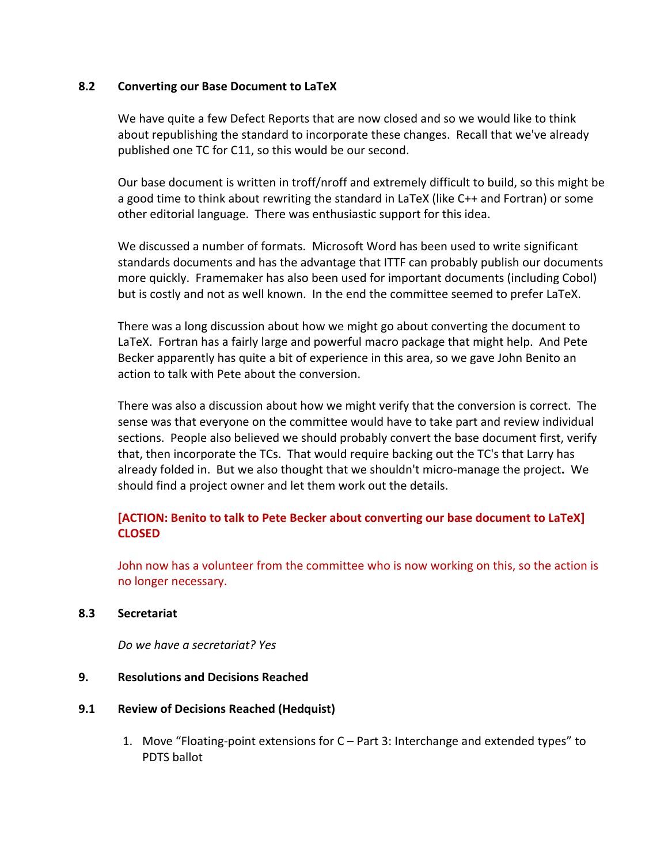## **8.2 Converting our Base Document to LaTeX**

We have quite a few Defect Reports that are now closed and so we would like to think about republishing the standard to incorporate these changes. Recall that we've already published one TC for C11, so this would be our second.

Our base document is written in troff/nroff and extremely difficult to build, so this might be a good time to think about rewriting the standard in LaTeX (like C++ and Fortran) or some other editorial language. There was enthusiastic support for this idea.

We discussed a number of formats. Microsoft Word has been used to write significant standards documents and has the advantage that ITTF can probably publish our documents more quickly. Framemaker has also been used for important documents (including Cobol) but is costly and not as well known. In the end the committee seemed to prefer LaTeX.

There was a long discussion about how we might go about converting the document to LaTeX. Fortran has a fairly large and powerful macro package that might help. And Pete Becker apparently has quite a bit of experience in this area, so we gave John Benito an action to talk with Pete about the conversion.

There was also a discussion about how we might verify that the conversion is correct. The sense was that everyone on the committee would have to take part and review individual sections. People also believed we should probably convert the base document first, verify that, then incorporate the TCs. That would require backing out the TC's that Larry has already folded in. But we also thought that we shouldn't micro‐manage the project**.** We should find a project owner and let them work out the details.

## **[ACTION: Benito to talk to Pete Becker about converting our base document to LaTeX] CLOSED**

John now has a volunteer from the committee who is now working on this, so the action is no longer necessary.

## **8.3 Secretariat**

*Do we have a secretariat? Yes*

## **9. Resolutions and Decisions Reached**

## **9.1 Review of Decisions Reached (Hedquist)**

1. Move "Floating-point extensions for C – Part 3: Interchange and extended types" to PDTS ballot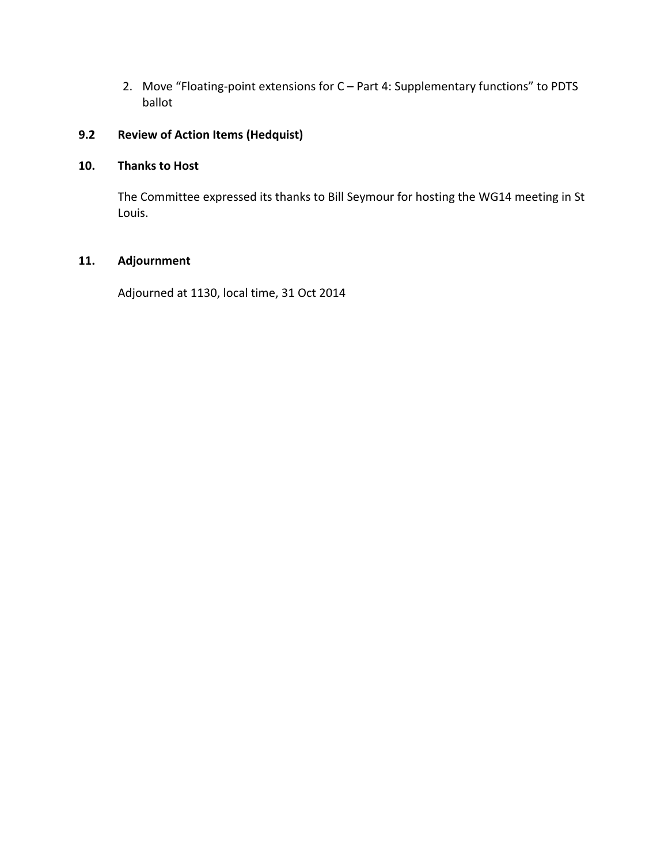2. Move "Floating-point extensions for C – Part 4: Supplementary functions" to PDTS ballot

# **9.2 Review of Action Items (Hedquist)**

## **10. Thanks to Host**

The Committee expressed its thanks to Bill Seymour for hosting the WG14 meeting in St Louis.

# **11. Adjournment**

Adjourned at 1130, local time, 31 Oct 2014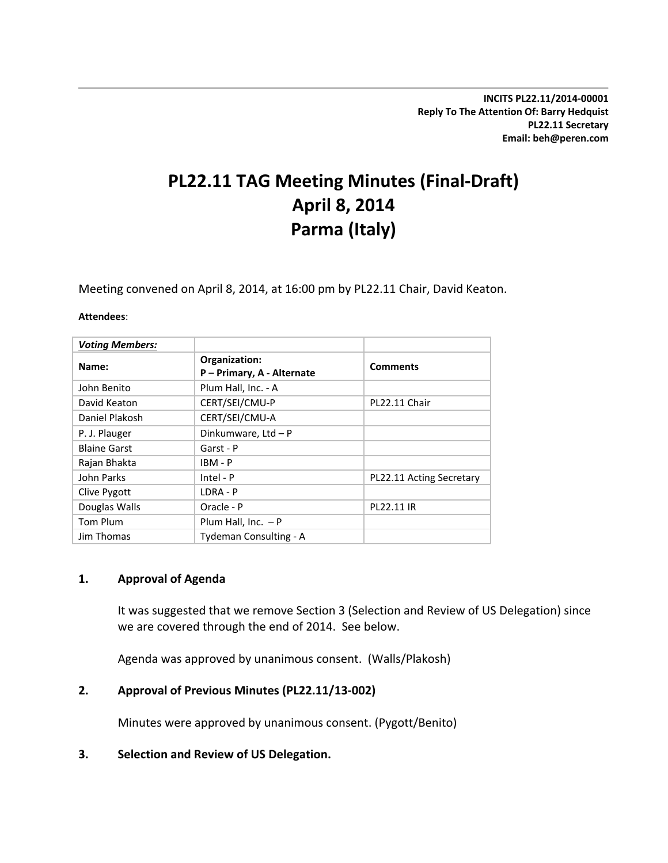**INCITS PL22.11/2014‐00001 Reply To The Attention Of: Barry Hedquist PL22.11 Secretary Email: beh@peren.com**

# **PL22.11 TAG Meeting Minutes (Final‐Draft) April 8, 2014 Parma (Italy)**

Meeting convened on April 8, 2014, at 16:00 pm by PL22.11 Chair, David Keaton.

#### **Attendees**:

| <b>Voting Members:</b> |                                             |                          |
|------------------------|---------------------------------------------|--------------------------|
| Name:                  | Organization:<br>P - Primary, A - Alternate | <b>Comments</b>          |
| John Benito            | Plum Hall, Inc. - A                         |                          |
| David Keaton           | CERT/SEI/CMU-P                              | PL22.11 Chair            |
| Daniel Plakosh         | CERT/SEI/CMU-A                              |                          |
| P. J. Plauger          | Dinkumware, Ltd - P                         |                          |
| <b>Blaine Garst</b>    | Garst - P                                   |                          |
| Rajan Bhakta           | IBM - P                                     |                          |
| John Parks             | $Intel - P$                                 | PL22.11 Acting Secretary |
| Clive Pygott           | LDRA - P                                    |                          |
| Douglas Walls          | Oracle - P                                  | <b>PL22.11 IR</b>        |
| Tom Plum               | Plum Hall, Inc. $-P$                        |                          |
| Jim Thomas             | Tydeman Consulting - A                      |                          |

#### **1. Approval of Agenda**

It was suggested that we remove Section 3 (Selection and Review of US Delegation) since we are covered through the end of 2014. See below.

Agenda was approved by unanimous consent. (Walls/Plakosh)

## **2. Approval of Previous Minutes (PL22.11/13‐002)**

Minutes were approved by unanimous consent. (Pygott/Benito)

#### **3. Selection and Review of US Delegation.**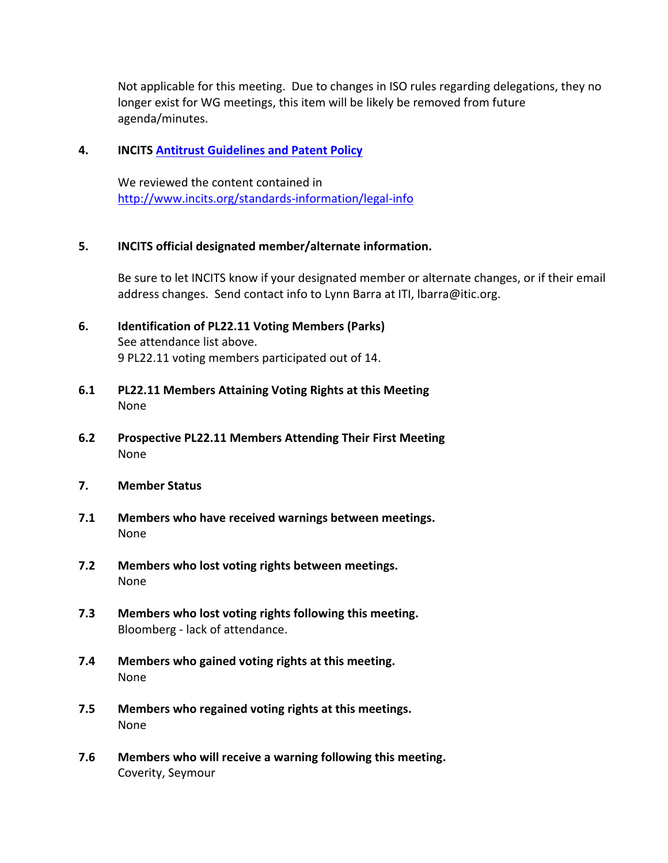Not applicable for this meeting. Due to changes in ISO rules regarding delegations, they no longer exist for WG meetings, this item will be likely be removed from future agenda/minutes.

## **4. INCITS Antitrust [Guidelines](http://www.incits.org/standards-information/legal-info) and Patent Policy**

We reviewed the content contained in [http://www.incits.org/standards](http://www.incits.org/standards-information/legal-info)‐information/legal‐info

## **5. INCITS official designated member/alternate information.**

Be sure to let INCITS know if your designated member or alternate changes, or if their email address changes. Send contact info to Lynn Barra at ITI, lbarra@itic.org.

- **6. Identification of PL22.11 Voting Members (Parks)**  See attendance list above. 9 PL22.11 voting members participated out of 14.
- **6.1 PL22.11 Members Attaining Voting Rights at this Meeting** None
- **6.2 Prospective PL22.11 Members Attending Their First Meeting** None
- **7. Member Status**
- **7.1 Members who have received warnings between meetings.** None
- **7.2 Members who lost voting rights between meetings.** None
- **7.3 Members who lost voting rights following this meeting.** Bloomberg ‐ lack of attendance.
- **7.4 Members who gained voting rights at this meeting.** None
- **7.5 Members who regained voting rights at this meetings.** None
- **7.6 Members who will receive a warning following this meeting.** Coverity, Seymour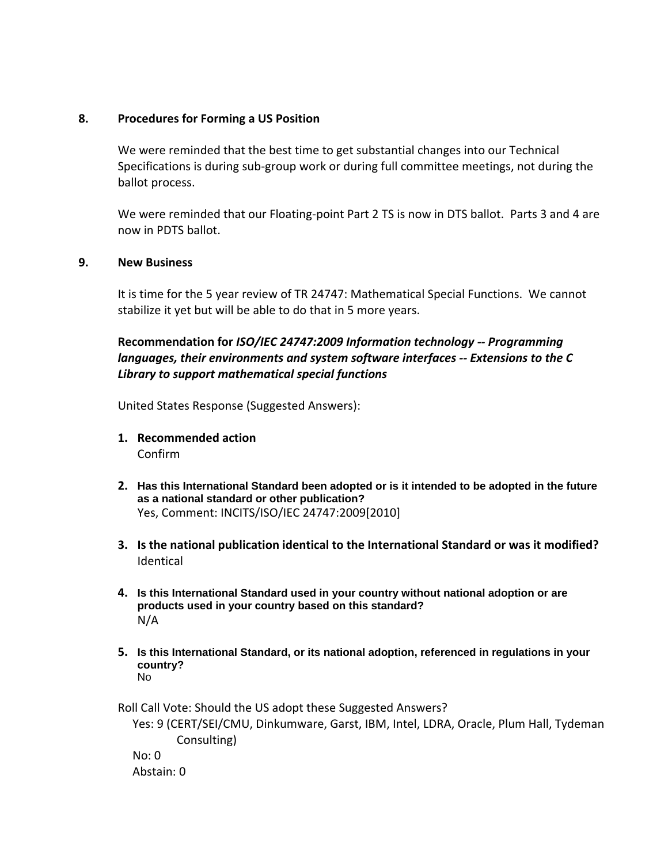#### **8. Procedures for Forming a US Position**

We were reminded that the best time to get substantial changes into our Technical Specifications is during sub‐group work or during full committee meetings, not during the ballot process.

We were reminded that our Floating-point Part 2 TS is now in DTS ballot. Parts 3 and 4 are now in PDTS ballot.

#### **9. New Business**

It is time for the 5 year review of TR 24747: Mathematical Special Functions. We cannot stabilize it yet but will be able to do that in 5 more years.

# **Recommendation for** *ISO/IEC 24747:2009 Information technology ‐‐ Programming languages, their environments and system software interfaces ‐‐ Extensions to the C Library to support mathematical special functions*

United States Response (Suggested Answers):

- **1. Recommended action** Confirm
- **2. Has this International Standard been adopted or is it intended to be adopted in the future as a national standard or other publication?** Yes, Comment: INCITS/ISO/IEC 24747:2009[2010]
- **3. Is the national publication identical to the International Standard or was it modified?** Identical
- **4. Is this International Standard used in your country without national adoption or are products used in your country based on this standard?** N/A
- **5. Is this International Standard, or its national adoption, referenced in regulations in your country?** No

Roll Call Vote: Should the US adopt these Suggested Answers?

Yes: 9 (CERT/SEI/CMU, Dinkumware, Garst, IBM, Intel, LDRA, Oracle, Plum Hall, Tydeman Consulting)

No: 0 Abstain: 0